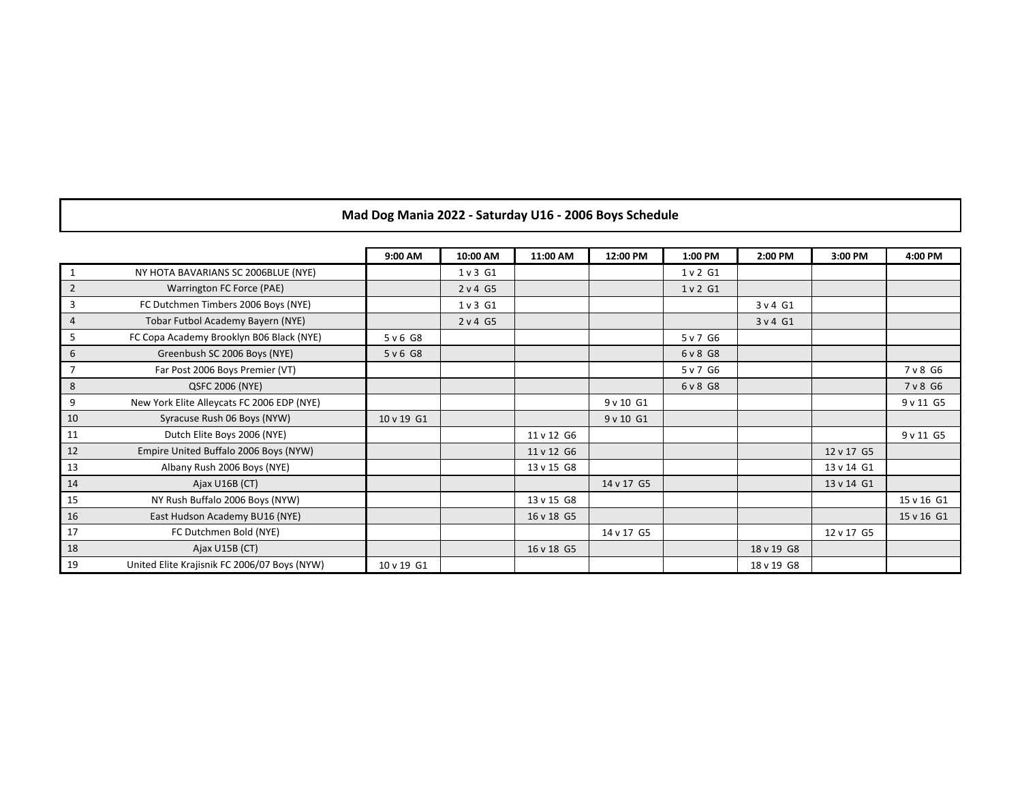|                |                                              | 9:00 AM    | 10:00 AM | 11:00 AM   | 12:00 PM   | 1:00 PM   | 2:00 PM    | 3:00 PM    | 4:00 PM    |
|----------------|----------------------------------------------|------------|----------|------------|------------|-----------|------------|------------|------------|
| 1              | NY HOTA BAVARIANS SC 2006BLUE (NYE)          |            | 1 v 3 G1 |            |            | 1 v 2 G1  |            |            |            |
| $\overline{2}$ | Warrington FC Force (PAE)                    |            | 2 v 4 G5 |            |            | 1 v 2 G1  |            |            |            |
| 3              | FC Dutchmen Timbers 2006 Boys (NYE)          |            | 1 v 3 G1 |            |            |           | 3 v 4 G1   |            |            |
| $\overline{4}$ | Tobar Futbol Academy Bayern (NYE)            |            | 2 v 4 G5 |            |            |           | 3 v 4 G1   |            |            |
| 5              | FC Copa Academy Brooklyn B06 Black (NYE)     | 5 v 6 G8   |          |            |            | 5 v 7 G6  |            |            |            |
| 6              | Greenbush SC 2006 Boys (NYE)                 | 5 v 6 G8   |          |            |            | 6 v 8 G 8 |            |            |            |
| 7              | Far Post 2006 Boys Premier (VT)              |            |          |            |            | 5 v 7 G6  |            |            | 7 v 8 G6   |
| 8              | QSFC 2006 (NYE)                              |            |          |            |            | 6 v 8 G 8 |            |            | 7 v 8 G6   |
| 9              | New York Elite Alleycats FC 2006 EDP (NYE)   |            |          |            | 9 v 10 G1  |           |            |            | 9 v 11 G5  |
| 10             | Syracuse Rush 06 Boys (NYW)                  | 10 v 19 G1 |          |            | 9 v 10 G1  |           |            |            |            |
| 11             | Dutch Elite Boys 2006 (NYE)                  |            |          | 11 v 12 G6 |            |           |            |            | 9 v 11 G5  |
| 12             | Empire United Buffalo 2006 Boys (NYW)        |            |          | 11 v 12 G6 |            |           |            | 12 v 17 G5 |            |
| 13             | Albany Rush 2006 Boys (NYE)                  |            |          | 13 v 15 G8 |            |           |            | 13 v 14 G1 |            |
| 14             | Ajax U16B (CT)                               |            |          |            | 14 v 17 G5 |           |            | 13 v 14 G1 |            |
| 15             | NY Rush Buffalo 2006 Boys (NYW)              |            |          | 13 v 15 G8 |            |           |            |            | 15 v 16 G1 |
| 16             | East Hudson Academy BU16 (NYE)               |            |          | 16 v 18 G5 |            |           |            |            | 15 v 16 G1 |
| 17             | FC Dutchmen Bold (NYE)                       |            |          |            | 14 v 17 G5 |           |            | 12 v 17 G5 |            |
| 18             | Ajax U15B (CT)                               |            |          | 16 v 18 G5 |            |           | 18 v 19 G8 |            |            |
| 19             | United Elite Krajisnik FC 2006/07 Boys (NYW) | 10 v 19 G1 |          |            |            |           | 18 v 19 G8 |            |            |

## **Mad Dog Mania 2022 - Saturday U16 - 2006 Boys Schedule**

 $\mathbf I$